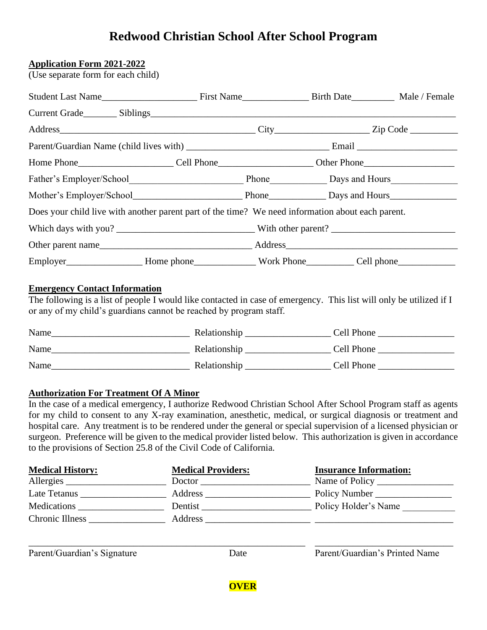# **Redwood Christian School After School Program**

#### **Application Form 2021-2022**

(Use separate form for each child)

| Mother's Employer/School Phone Days and Hours                                                     |  |  |
|---------------------------------------------------------------------------------------------------|--|--|
| Does your child live with another parent part of the time? We need information about each parent. |  |  |
|                                                                                                   |  |  |
|                                                                                                   |  |  |
|                                                                                                   |  |  |

### **Emergency Contact Information**

The following is a list of people I would like contacted in case of emergency. This list will only be utilized if I or any of my child's guardians cannot be reached by program staff.

| Name | Relationship | Cell Phone |
|------|--------------|------------|
| Name | Relationship | Cell Phone |
| Name | Relationship | Cell Phone |

### **Authorization For Treatment Of A Minor**

In the case of a medical emergency, I authorize Redwood Christian School After School Program staff as agents for my child to consent to any X-ray examination, anesthetic, medical, or surgical diagnosis or treatment and hospital care. Any treatment is to be rendered under the general or special supervision of a licensed physician or surgeon. Preference will be given to the medical provider listed below. This authorization is given in accordance to the provisions of Section 25.8 of the Civil Code of California.

| <b>Medical History:</b> | <b>Medical Providers:</b> | <b>Insurance Information:</b> |
|-------------------------|---------------------------|-------------------------------|
| Allergies               | Doctor                    | Name of Policy                |
| Late Tetanus            | Address                   | Policy Number                 |
| Medications             | Dentist                   | Policy Holder's Name          |
| Chronic Illness         | Address                   |                               |

\_\_\_\_\_\_\_\_\_\_\_\_\_\_\_\_\_\_\_\_\_\_\_\_\_\_\_\_\_\_\_\_\_\_\_\_\_\_\_\_\_\_\_\_\_\_\_\_\_\_\_\_\_\_\_\_\_\_ \_\_\_\_\_\_\_\_\_\_\_\_\_\_\_\_\_\_\_\_\_\_\_\_\_\_\_\_\_

Parent/Guardian's Signature Date Date Parent/Guardian's Printed Name